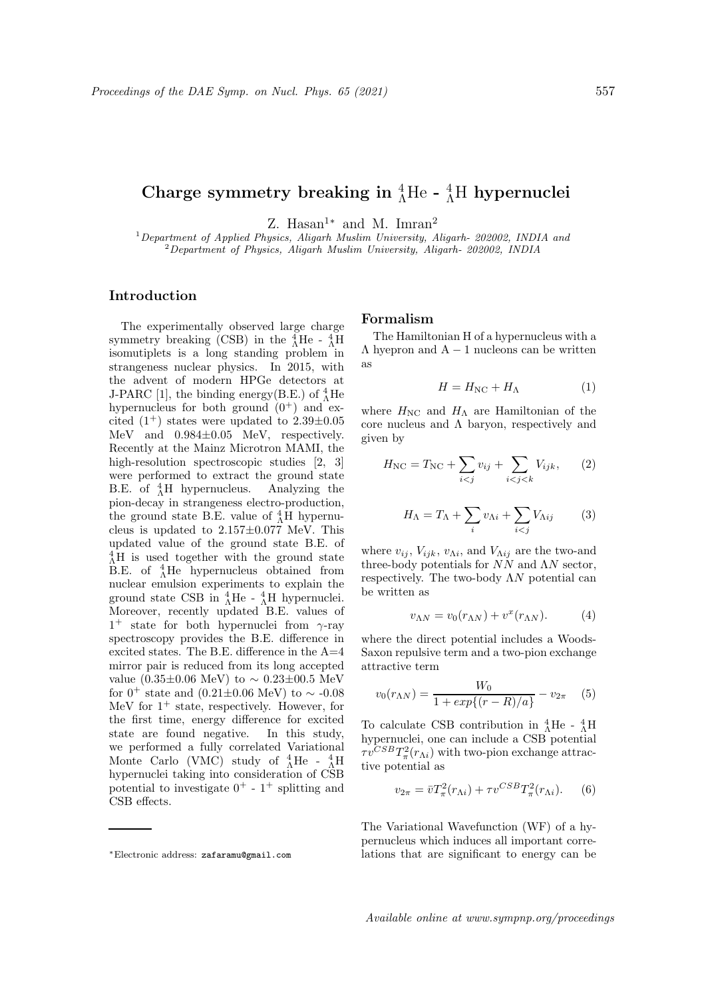# Charge symmetry breaking in  ${}^{4}_{\Lambda}$ He -  ${}^{4}_{\Lambda}$ H hypernuclei

Z. Hasan<sup>1</sup><sup>\*</sup> and M. Imran<sup>2</sup>

 $1$  Department of Applied Physics, Aligarh Muslim University, Aligarh- 202002, INDIA and  $2$ Department of Physics, Aligarh Muslim University, Aligarh- 202002, INDIA

## Introduction

The experimentally observed large charge symmetry breaking (CSB) in the  $^{4}_{\Lambda}$ He -  $^{4}_{\Lambda}$ H isomutiplets is a long standing problem in strangeness nuclear physics. In 2015, with the advent of modern HPGe detectors at J-PARC [1], the binding energy(B.E.) of  $^{4}_{\Lambda}$ He hypernucleus for both ground  $(0^+)$  and excited  $(1^+)$  states were updated to  $2.39\pm0.05$ MeV and 0.984±0.05 MeV, respectively. Recently at the Mainz Microtron MAMI, the high-resolution spectroscopic studies [2, 3] were performed to extract the ground state B.E. of  $^{4}_{\Lambda}$ H hypernucleus. Analyzing the pion-decay in strangeness electro-production, the ground state B.E. value of  $^{4}_{\Lambda}$ H hypernucleus is updated to  $2.157\pm0.077$  MeV. This updated value of the ground state B.E. of  $^{4}_{\Lambda}$ H is used together with the ground state B.E. of  $^{4}_{\Lambda}$ He hypernucleus obtained from nuclear emulsion experiments to explain the ground state CSB in  $^{4}_{\Lambda}$ He -  $^{4}_{\Lambda}$ H hypernuclei. Moreover, recently updated B.E. values of  $1^+$  state for both hypernuclei from  $\gamma$ -ray spectroscopy provides the B.E. difference in excited states. The B.E. difference in the A=4 mirror pair is reduced from its long accepted value (0.35±0.06 MeV) to  $\sim$  0.23±00.5 MeV for 0<sup>+</sup> state and (0.21±0.06 MeV) to  $\sim$  -0.08 MeV for  $1^+$  state, respectively. However, for the first time, energy difference for excited state are found negative. In this study, we performed a fully correlated Variational Monte Carlo (VMC) study of  $^{4}_{\Lambda}$ He -  $^{4}_{\Lambda}$ H hypernuclei taking into consideration of CSB potential to investigate  $0^+$  -  $1^+$  splitting and CSB effects.

### Formalism

The Hamiltonian H of a hypernucleus with a  $\Lambda$  hyepron and  $A - 1$  nucleons can be written as

$$
H = H_{\rm NC} + H_{\Lambda} \tag{1}
$$

where  $H_{\text{NC}}$  and  $H_{\Lambda}$  are Hamiltonian of the core nucleus and  $\Lambda$  baryon, respectively and given by

$$
H_{\rm NC} = T_{\rm NC} + \sum_{i < j} v_{ij} + \sum_{i < j < k} V_{ijk},\qquad(2)
$$

$$
H_{\Lambda} = T_{\Lambda} + \sum_{i} v_{\Lambda i} + \sum_{i < j} V_{\Lambda ij} \tag{3}
$$

where  $v_{ij}$ ,  $V_{ijk}$ ,  $v_{\Lambda i}$ , and  $V_{\Lambda ij}$  are the two-and three-body potentials for  $NN$  and  $\Lambda N$  sector, respectively. The two-body  $\Lambda N$  potential can be written as

$$
v_{\Lambda N} = v_0(r_{\Lambda N}) + v^x(r_{\Lambda N}). \tag{4}
$$

where the direct potential includes a Woods-Saxon repulsive term and a two-pion exchange attractive term

$$
v_0(r_{\Lambda N}) = \frac{W_0}{1 + exp\{(r - R)/a\}} - v_{2\pi} \quad (5)
$$

To calculate CSB contribution in  $^{4}_{\Lambda}$ He -  $^{4}_{\Lambda}$ H hypernuclei, one can include a CSB potential  $\tau v^{CSB} T_{\pi}^2(r_{\Lambda i})$  with two-pion exchange attractive potential as

$$
v_{2\pi} = \bar{v}T_{\pi}^2(r_{\Lambda i}) + \tau v^{CSB}T_{\pi}^2(r_{\Lambda i}).
$$
 (6)

The Variational Wavefunction (WF) of a hypernucleus which induces all important correlations that are significant to energy can be

<sup>∗</sup>Electronic address: zafaramu@gmail.com